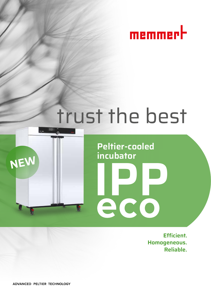

# trust the best



**Peltier-cooled incubator**

**PCO** 

 **Efficient. Homogeneous. Reliable.**

ADVANCED PELTIER TECHNOLOGY